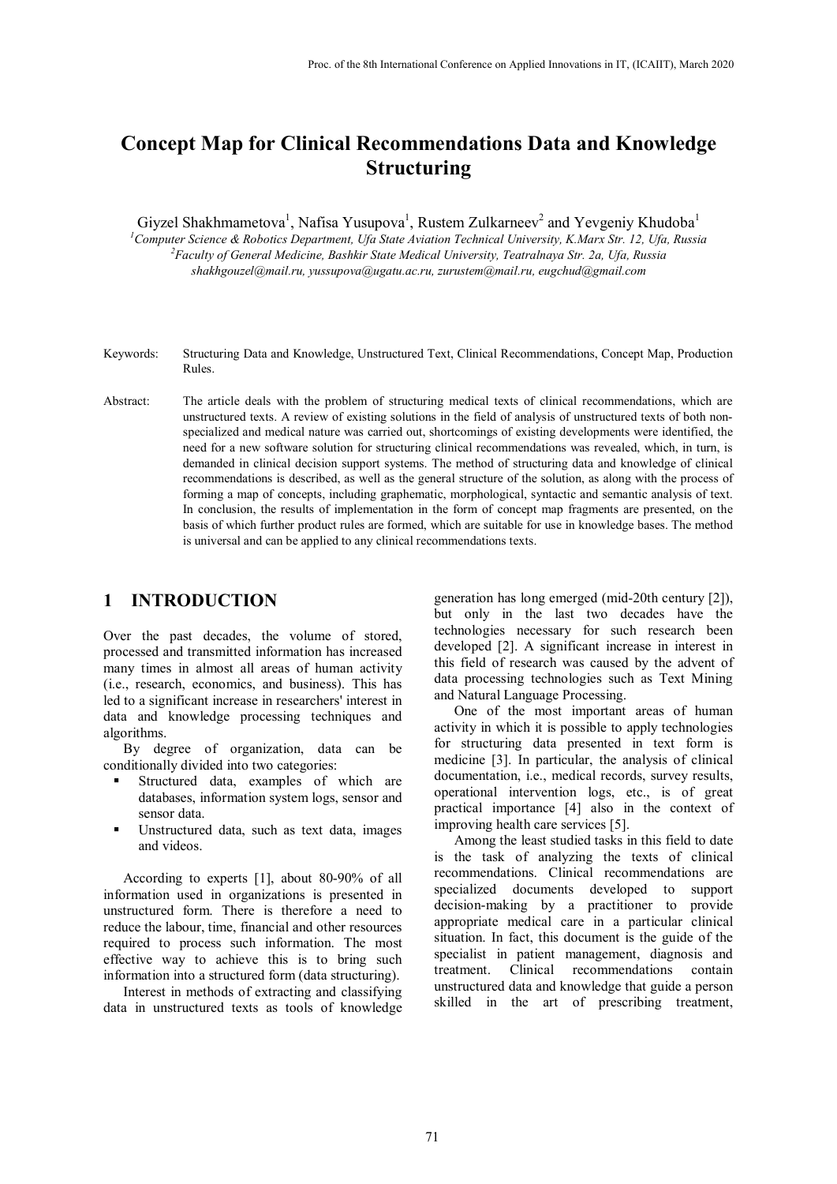# **Concept Map for Clinical Recommendations Data and Knowledge Structuring**

Giyzel Shakhmametova<sup>1</sup>, Nafisa Yusupova<sup>1</sup>, Rustem Zulkarneev<sup>2</sup> and Yevgeniy Khudoba<sup>1</sup> *1 Computer Science & Robotics Department, Ufa State Aviation Technical University, K.Marx Str. 12, Ufa, Russia 2 Faculty of General Medicine, Bashkir State Medical University, Teatralnaya Str. 2a, Ufa, Russia shakhgouzel@mail.ru, yussupova@ugatu.ac.ru, zurustem@mail.ru, eugchud@gmail.com*

- Keywords: Structuring Data and Knowledge, Unstructured Text, Clinical Recommendations, Concept Map, Production Rules.
- Abstract: The article deals with the problem of structuring medical texts of clinical recommendations, which are unstructured texts. A review of existing solutions in the field of analysis of unstructured texts of both nonspecialized and medical nature was carried out, shortcomings of existing developments were identified, the need for a new software solution for structuring clinical recommendations was revealed, which, in turn, is demanded in clinical decision support systems. The method of structuring data and knowledge of clinical recommendations is described, as well as the general structure of the solution, as along with the process of forming a map of concepts, including graphematic, morphological, syntactic and semantic analysis of text. In conclusion, the results of implementation in the form of concept map fragments are presented, on the basis of which further product rules are formed, which are suitable for use in knowledge bases. The method is universal and can be applied to any clinical recommendations texts.

### **1 INTRODUCTION**

Over the past decades, the volume of stored, processed and transmitted information has increased many times in almost all areas of human activity (i.e., research, economics, and business). This has led to a significant increase in researchers' interest in data and knowledge processing techniques and algorithms.

By degree of organization, data can be conditionally divided into two categories:

- Structured data, examples of which are databases, information system logs, sensor and sensor data.
- Unstructured data, such as text data, images and videos.

According to experts [1], about 80-90% of all information used in organizations is presented in unstructured form. There is therefore a need to reduce the labour, time, financial and other resources required to process such information. The most effective way to achieve this is to bring such information into a structured form (data structuring).

Interest in methods of extracting and classifying data in unstructured texts as tools of knowledge

generation has long emerged (mid-20th century [2]), but only in the last two decades have the technologies necessary for such research been developed [2]. A significant increase in interest in this field of research was caused by the advent of data processing technologies such as Text Mining and Natural Language Processing.

One of the most important areas of human activity in which it is possible to apply technologies for structuring data presented in text form is medicine [3]. In particular, the analysis of clinical documentation, i.e., medical records, survey results, operational intervention logs, etc., is of great practical importance [4] also in the context of improving health care services [5].

Among the least studied tasks in this field to date is the task of analyzing the texts of clinical recommendations. Clinical recommendations are specialized documents developed to support decision-making by a practitioner to provide appropriate medical care in a particular clinical situation. In fact, this document is the guide of the specialist in patient management, diagnosis and treatment. Clinical recommendations contain unstructured data and knowledge that guide a person skilled in the art of prescribing treatment,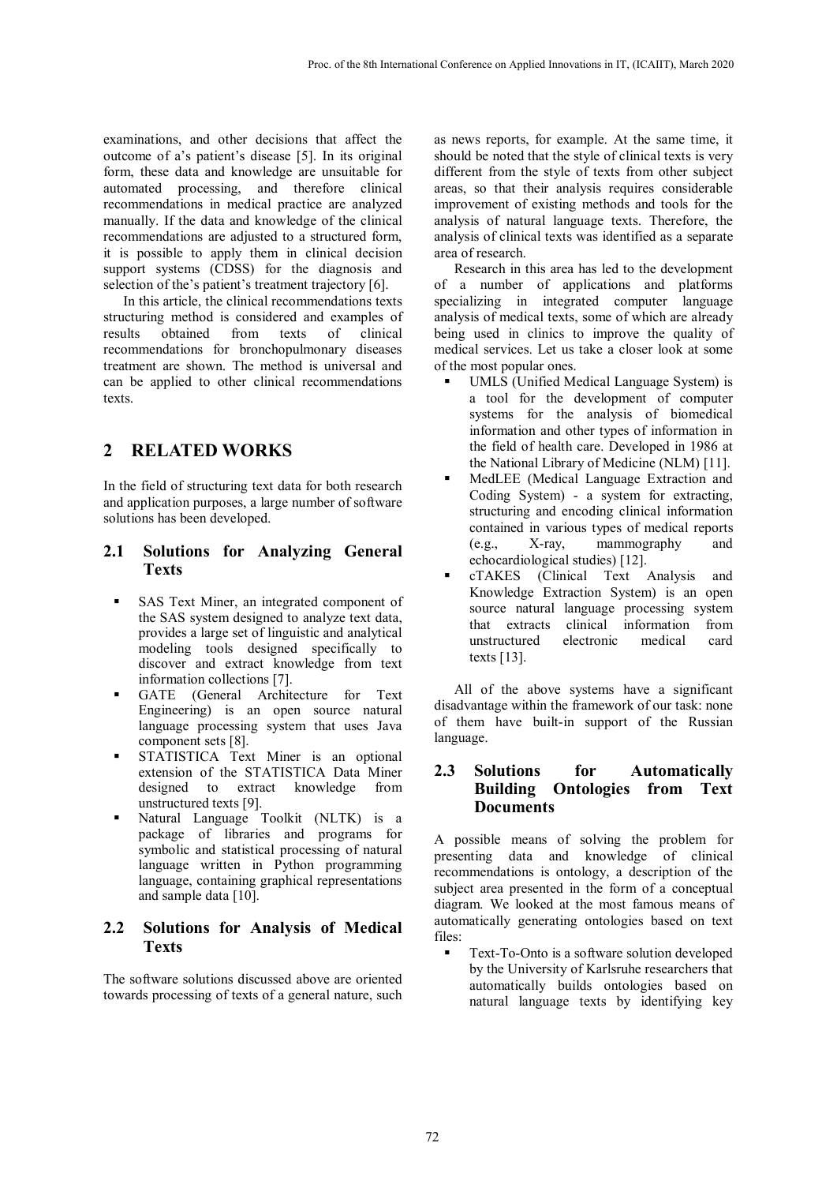examinations, and other decisions that affect the outcome of a's patient's disease [5]. In its original form, these data and knowledge are unsuitable for automated processing, and therefore clinical recommendations in medical practice are analyzed manually. If the data and knowledge of the clinical recommendations are adjusted to a structured form, it is possible to apply them in clinical decision support systems (CDSS) for the diagnosis and selection of the's patient's treatment trajectory [6].

In this article, the clinical recommendations texts structuring method is considered and examples of results obtained from texts of clinical recommendations for bronchopulmonary diseases treatment are shown. The method is universal and can be applied to other clinical recommendations texts.

# **2 RELATED WORKS**

In the field of structuring text data for both research and application purposes, a large number of software solutions has been developed.

#### **2.1 Solutions for Analyzing General Texts**

- SAS Text Miner, an integrated component of the SAS system designed to analyze text data, provides a large set of linguistic and analytical modeling tools designed specifically to discover and extract knowledge from text information collections [7].
- GATE (General Architecture for Text Engineering) is an open source natural language processing system that uses Java component sets [8].
- STATISTICA Text Miner is an optional extension of the STATISTICA Data Miner designed to extract knowledge from unstructured texts [9].
- Natural Language Toolkit (NLTK) is a package of libraries and programs for symbolic and statistical processing of natural language written in Python programming language, containing graphical representations and sample data [10].

#### **2.2 Solutions for Analysis of Medical Texts**

The software solutions discussed above are oriented towards processing of texts of a general nature, such

as news reports, for example. At the same time, it should be noted that the style of clinical texts is very different from the style of texts from other subject areas, so that their analysis requires considerable improvement of existing methods and tools for the analysis of natural language texts. Therefore, the analysis of clinical texts was identified as a separate area of research.

Research in this area has led to the development of a number of applications and platforms specializing in integrated computer language analysis of medical texts, some of which are already being used in clinics to improve the quality of medical services. Let us take a closer look at some of the most popular ones.

- UMLS (Unified Medical Language System) is a tool for the development of computer systems for the analysis of biomedical information and other types of information in the field of health care. Developed in 1986 at the National Library of Medicine (NLM) [11].
- MedLEE (Medical Language Extraction and Coding System) - a system for extracting, structuring and encoding clinical information contained in various types of medical reports (e.g., X-ray, mammography and echocardiological studies) [12].
- cTAKES (Clinical Text Analysis and Knowledge Extraction System) is an open source natural language processing system that extracts clinical information from unstructured texts [13].

All of the above systems have a significant disadvantage within the framework of our task: none of them have built-in support of the Russian language.

#### **2.3 Solutions for Automatically Building Ontologies from Text Documents**

A possible means of solving the problem for presenting data and knowledge of clinical recommendations is ontology, a description of the subject area presented in the form of a conceptual diagram. We looked at the most famous means of automatically generating ontologies based on text files:

 Text-To-Onto is a software solution developed by the University of Karlsruhe researchers that automatically builds ontologies based on natural language texts by identifying key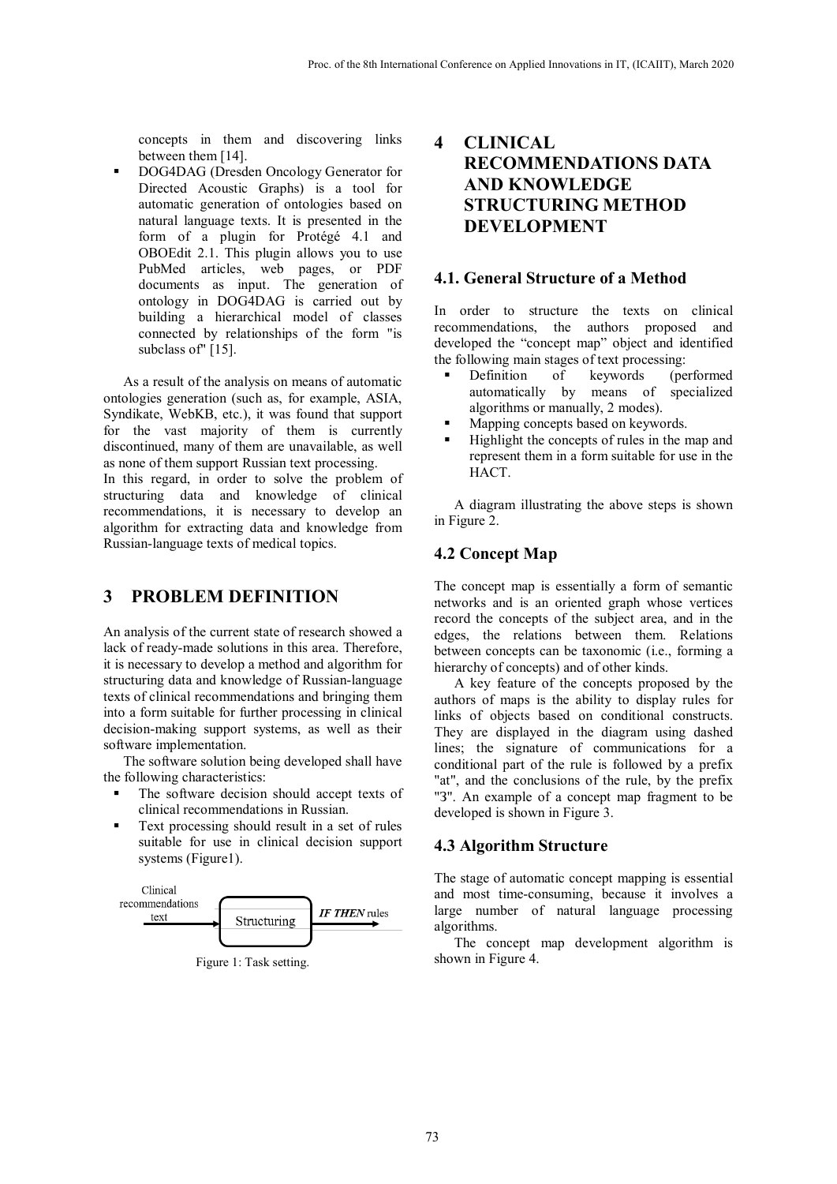concepts in them and discovering links between them [14].

 DOG4DAG (Dresden Oncology Generator for Directed Acoustic Graphs) is a tool for automatic generation of ontologies based on natural language texts. It is presented in the form of a plugin for Protégé 4.1 and OBOEdit 2.1. This plugin allows you to use PubMed articles, web pages, or PDF documents as input. The generation of ontology in DOG4DAG is carried out by building a hierarchical model of classes connected by relationships of the form "is subclass of" [15].

As a result of the analysis on means of automatic ontologies generation (such as, for example, ASIA, Syndikate, WebKB, etc.), it was found that support for the vast majority of them is currently discontinued, many of them are unavailable, as well as none of them support Russian text processing. In this regard, in order to solve the problem of structuring data and knowledge of clinical recommendations, it is necessary to develop an algorithm for extracting data and knowledge from Russian-language texts of medical topics.

### **3 PROBLEM DEFINITION**

An analysis of the current state of research showed a lack of ready-made solutions in this area. Therefore, it is necessary to develop a method and algorithm for structuring data and knowledge of Russian-language texts of clinical recommendations and bringing them into a form suitable for further processing in clinical decision-making support systems, as well as their software implementation.

The software solution being developed shall have the following characteristics:

- The software decision should accept texts of clinical recommendations in Russian.
- Text processing should result in a set of rules suitable for use in clinical decision support systems (Figure1).



Figure 1: Task setting.

# **4 CLINICAL RECOMMENDATIONS DATA AND KNOWLEDGE STRUCTURING METHOD DEVELOPMENT**

#### **4.1. General Structure of a Method**

In order to structure the texts on clinical recommendations, the authors proposed and developed the "concept map" object and identified the following main stages of text processing:

- Definition of keywords (performed automatically by means of specialized algorithms or manually, 2 modes).
- Mapping concepts based on keywords.
- Highlight the concepts of rules in the map and represent them in a form suitable for use in the HACT.

A diagram illustrating the above steps is shown in Figure 2.

#### **4.2 Concept Map**

The concept map is essentially a form of semantic networks and is an oriented graph whose vertices record the concepts of the subject area, and in the edges, the relations between them. Relations between concepts can be taxonomic (i.e., forming a hierarchy of concepts) and of other kinds.

A key feature of the concepts proposed by the authors of maps is the ability to display rules for links of objects based on conditional constructs. They are displayed in the diagram using dashed lines; the signature of communications for a conditional part of the rule is followed by a prefix "at", and the conclusions of the rule, by the prefix "З". An example of a concept map fragment to be developed is shown in Figure 3.

#### **4.3 Algorithm Structure**

The stage of automatic concept mapping is essential and most time-consuming, because it involves a large number of natural language processing algorithms.

The concept map development algorithm is shown in Figure 4.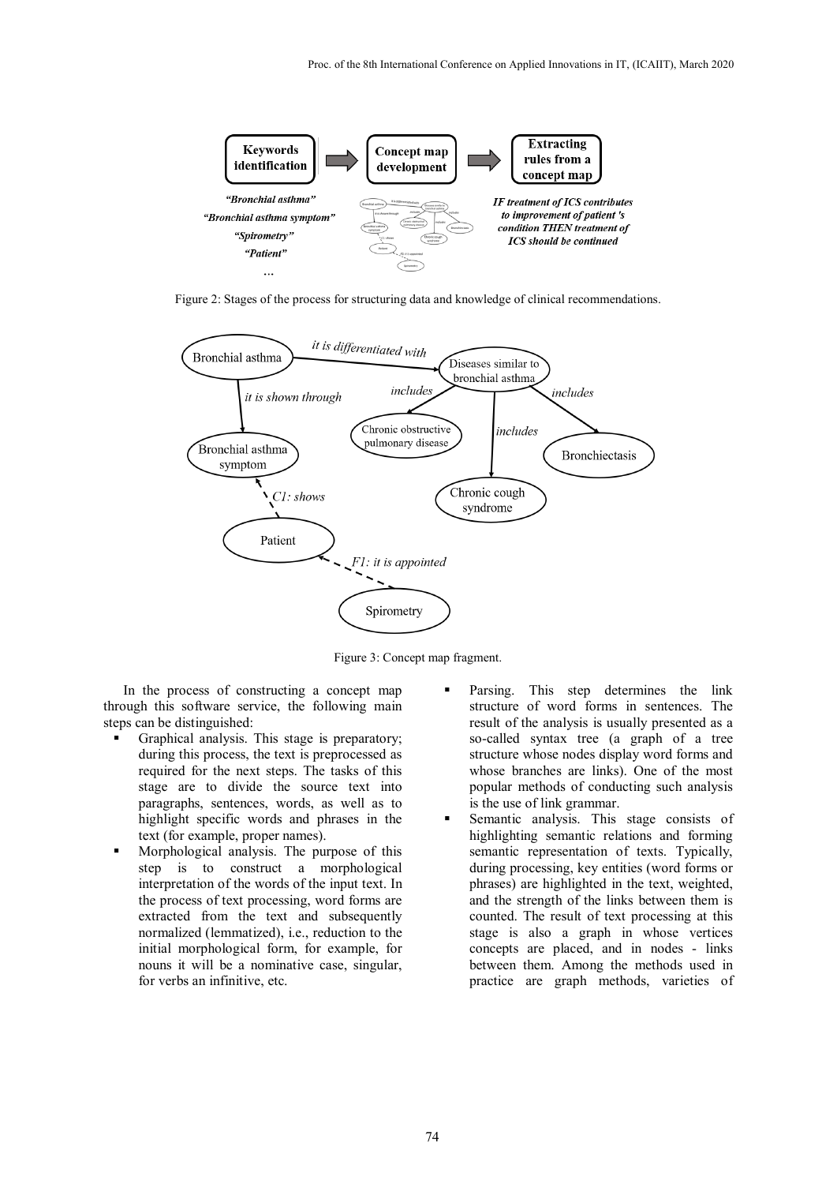

Figure 2: Stages of the process for structuring data and knowledge of clinical recommendations.



Figure 3: Concept map fragment.

In the process of constructing a concept map through this software service, the following main steps can be distinguished:

- Graphical analysis. This stage is preparatory; during this process, the text is preprocessed as required for the next steps. The tasks of this stage are to divide the source text into paragraphs, sentences, words, as well as to highlight specific words and phrases in the text (for example, proper names).
- Morphological analysis. The purpose of this step is to construct a morphological interpretation of the words of the input text. In the process of text processing, word forms are extracted from the text and subsequently normalized (lemmatized), i.e., reduction to the initial morphological form, for example, for nouns it will be a nominative case, singular, for verbs an infinitive, etc.
- Parsing. This step determines the link structure of word forms in sentences. The result of the analysis is usually presented as a so-called syntax tree (a graph of a tree structure whose nodes display word forms and whose branches are links). One of the most popular methods of conducting such analysis is the use of link grammar.
- Semantic analysis. This stage consists of highlighting semantic relations and forming semantic representation of texts. Typically, during processing, key entities (word forms or phrases) are highlighted in the text, weighted, and the strength of the links between them is counted. The result of text processing at this stage is also a graph in whose vertices concepts are placed, and in nodes - links between them. Among the methods used in practice are graph methods, varieties of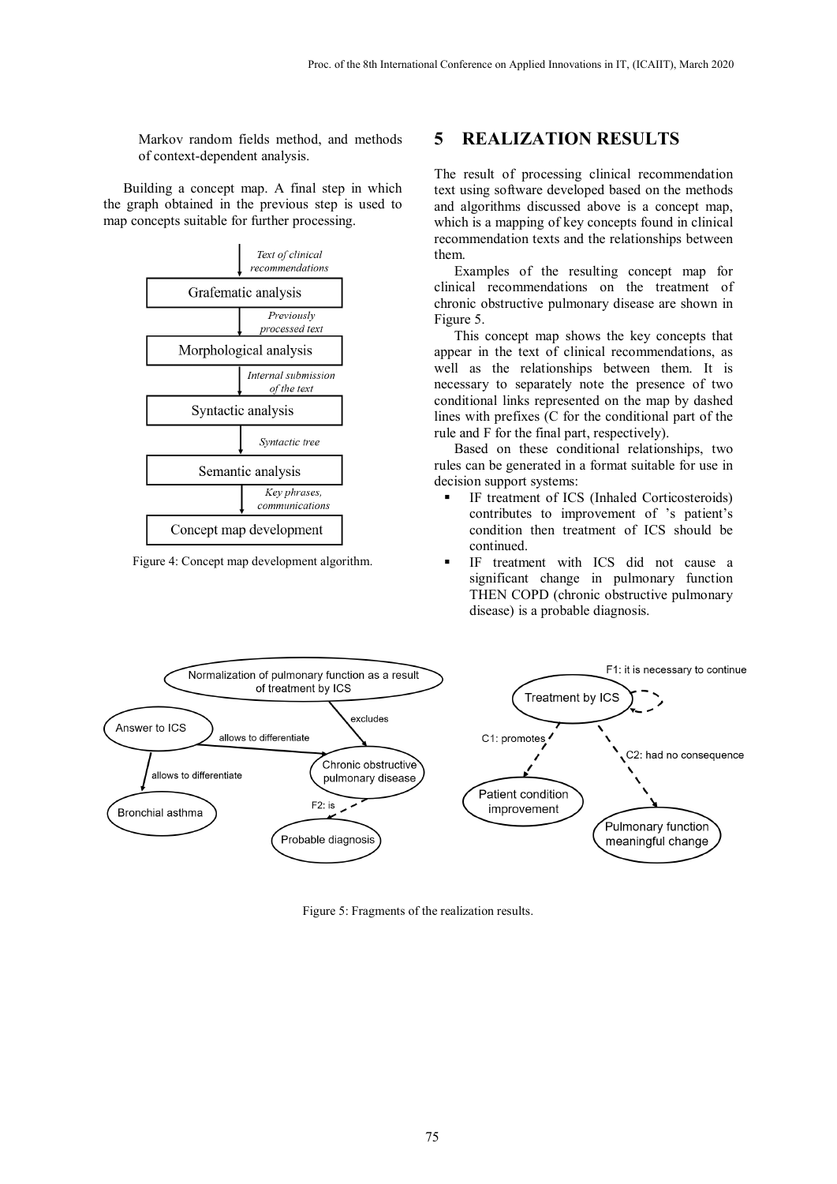Markov random fields method, and methods of context-dependent analysis.

Building a concept map. A final step in which the graph obtained in the previous step is used to map concepts suitable for further processing.



Figure 4: Concept map development algorithm.

# **5 REALIZATION RESULTS**

The result of processing clinical recommendation text using software developed based on the methods and algorithms discussed above is a concept map, which is a mapping of key concepts found in clinical recommendation texts and the relationships between them.

Examples of the resulting concept map for clinical recommendations on the treatment of chronic obstructive pulmonary disease are shown in Figure 5.

This concept map shows the key concepts that appear in the text of clinical recommendations, as well as the relationships between them. It is necessary to separately note the presence of two conditional links represented on the map by dashed lines with prefixes (C for the conditional part of the rule and F for the final part, respectively).

Based on these conditional relationships, two rules can be generated in a format suitable for use in decision support systems:

- IF treatment of ICS (Inhaled Corticosteroids) contributes to improvement of 's patient's condition then treatment of ICS should be continued.
- IF treatment with ICS did not cause a significant change in pulmonary function THEN COPD (chronic obstructive pulmonary disease) is a probable diagnosis.



Figure 5: Fragments of the realization results.